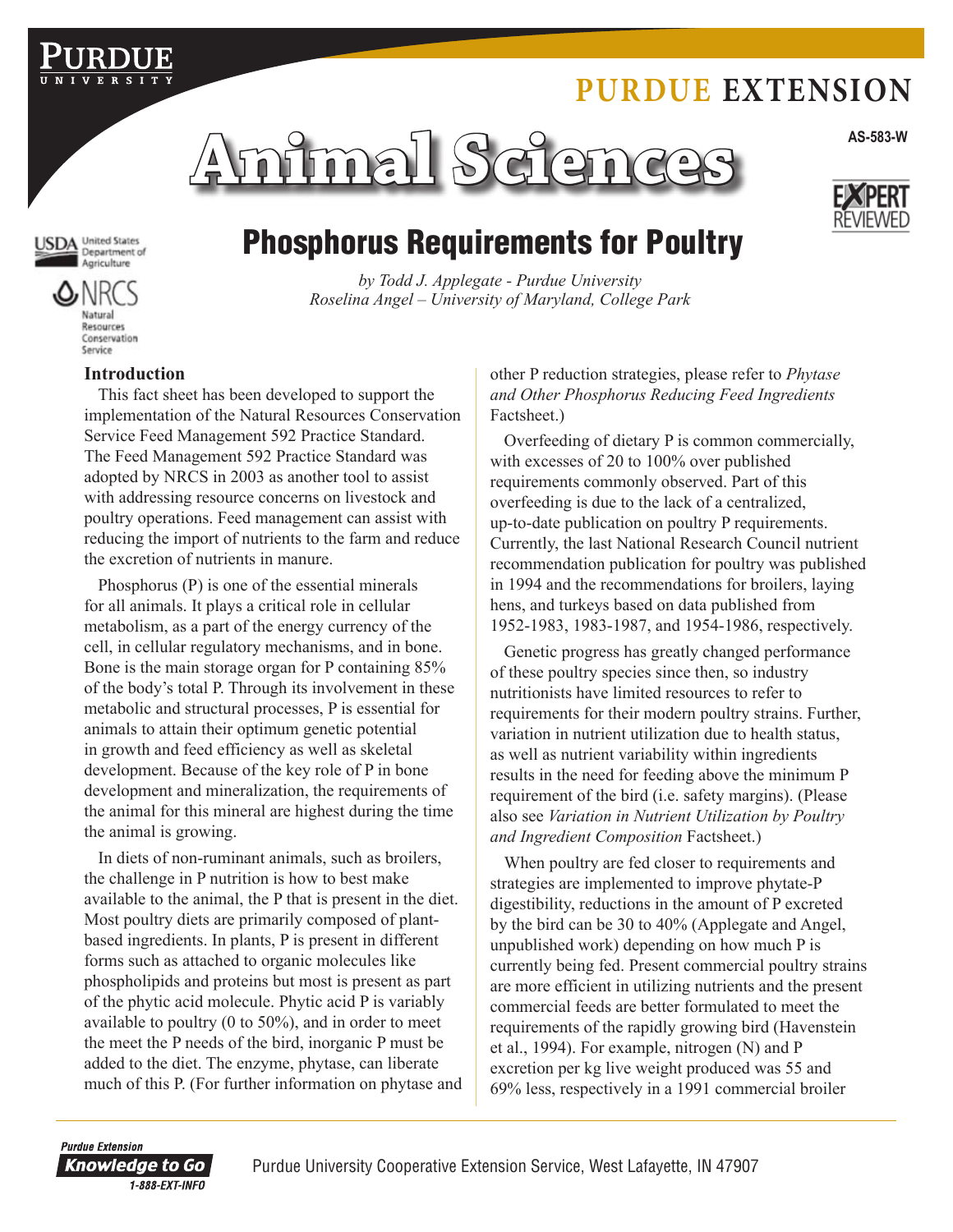## **Purdue Extension**



JSDA United States



# Phosphorus Requirements for Poultry

*by Todd J. Applegate - Purdue University Roselina Angel – University of Maryland, College Park*

#### **Introduction**

This fact sheet has been developed to support the implementation of the Natural Resources Conservation Service Feed Management 592 Practice Standard. The Feed Management 592 Practice Standard was adopted by NRCS in 2003 as another tool to assist with addressing resource concerns on livestock and poultry operations. Feed management can assist with reducing the import of nutrients to the farm and reduce the excretion of nutrients in manure.

Phosphorus (P) is one of the essential minerals for all animals. It plays a critical role in cellular metabolism, as a part of the energy currency of the cell, in cellular regulatory mechanisms, and in bone. Bone is the main storage organ for P containing 85% of the body's total P. Through its involvement in these metabolic and structural processes, P is essential for animals to attain their optimum genetic potential in growth and feed efficiency as well as skeletal development. Because of the key role of P in bone development and mineralization, the requirements of the animal for this mineral are highest during the time the animal is growing.

In diets of non-ruminant animals, such as broilers, the challenge in P nutrition is how to best make available to the animal, the P that is present in the diet. Most poultry diets are primarily composed of plantbased ingredients. In plants, P is present in different forms such as attached to organic molecules like phospholipids and proteins but most is present as part of the phytic acid molecule. Phytic acid P is variably available to poultry (0 to 50%), and in order to meet the meet the P needs of the bird, inorganic P must be added to the diet. The enzyme, phytase, can liberate much of this P. (For further information on phytase and other P reduction strategies, please refer to *Phytase and Other Phosphorus Reducing Feed Ingredients*  Factsheet.)

Overfeeding of dietary P is common commercially, with excesses of 20 to 100% over published requirements commonly observed. Part of this overfeeding is due to the lack of a centralized, up-to-date publication on poultry P requirements. Currently, the last National Research Council nutrient recommendation publication for poultry was published in 1994 and the recommendations for broilers, laying hens, and turkeys based on data published from 1952-1983, 1983-1987, and 1954-1986, respectively.

Genetic progress has greatly changed performance of these poultry species since then, so industry nutritionists have limited resources to refer to requirements for their modern poultry strains. Further, variation in nutrient utilization due to health status, as well as nutrient variability within ingredients results in the need for feeding above the minimum P requirement of the bird (i.e. safety margins). (Please also see *Variation in Nutrient Utilization by Poultry and Ingredient Composition* Factsheet.)

When poultry are fed closer to requirements and strategies are implemented to improve phytate-P digestibility, reductions in the amount of P excreted by the bird can be 30 to 40% (Applegate and Angel, unpublished work) depending on how much P is currently being fed. Present commercial poultry strains are more efficient in utilizing nutrients and the present commercial feeds are better formulated to meet the requirements of the rapidly growing bird (Havenstein et al., 1994). For example, nitrogen (N) and P excretion per kg live weight produced was 55 and 69% less, respectively in a 1991 commercial broiler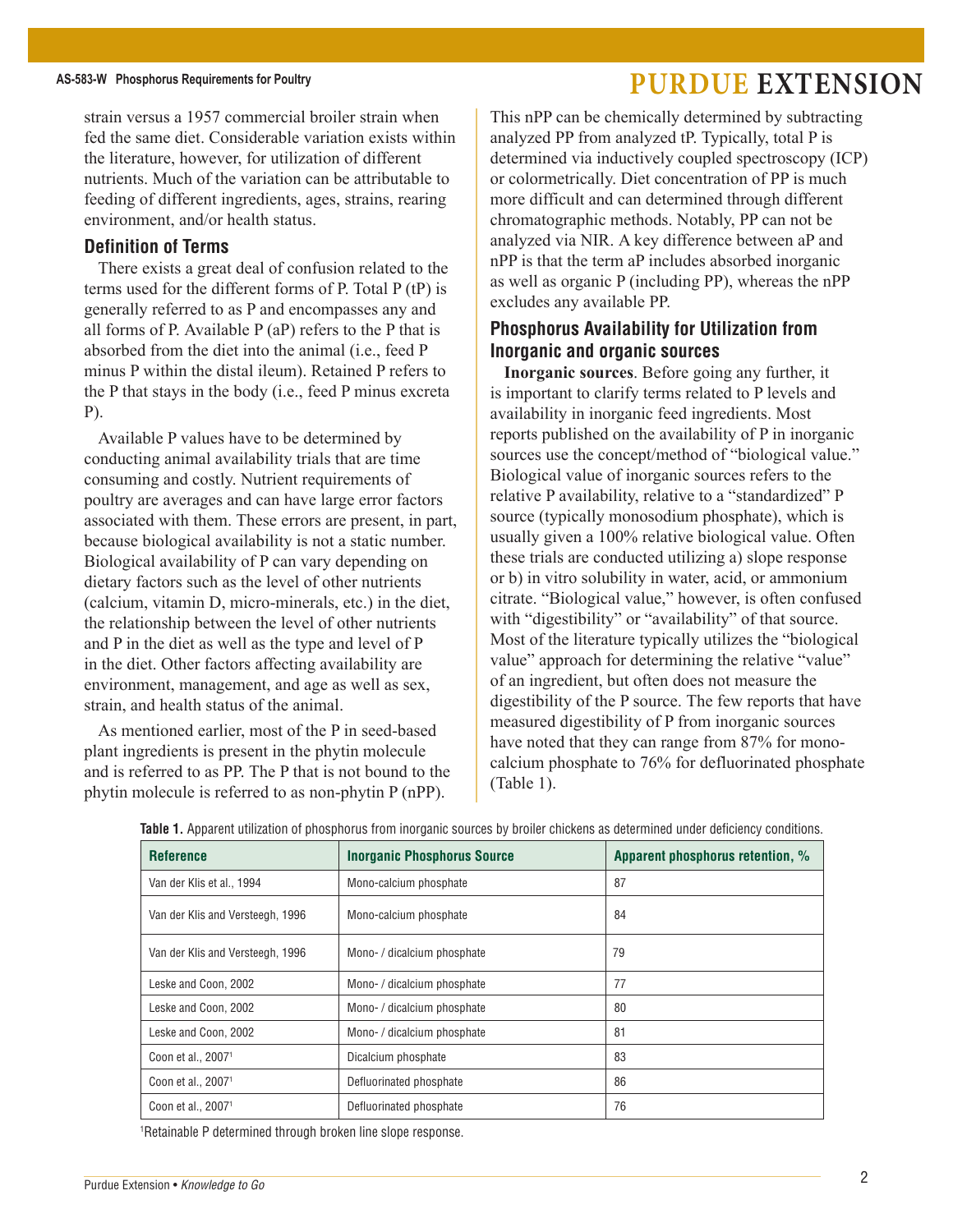strain versus a 1957 commercial broiler strain when fed the same diet. Considerable variation exists within the literature, however, for utilization of different nutrients. Much of the variation can be attributable to feeding of different ingredients, ages, strains, rearing environment, and/or health status.

#### **Definition of Terms**

There exists a great deal of confusion related to the terms used for the different forms of P. Total P (tP) is generally referred to as P and encompasses any and all forms of P. Available P (aP) refers to the P that is absorbed from the diet into the animal (i.e., feed P minus P within the distal ileum). Retained P refers to the P that stays in the body (i.e., feed P minus excreta P).

Available P values have to be determined by conducting animal availability trials that are time consuming and costly. Nutrient requirements of poultry are averages and can have large error factors associated with them. These errors are present, in part, because biological availability is not a static number. Biological availability of P can vary depending on dietary factors such as the level of other nutrients (calcium, vitamin D, micro-minerals, etc.) in the diet, the relationship between the level of other nutrients and P in the diet as well as the type and level of P in the diet. Other factors affecting availability are environment, management, and age as well as sex, strain, and health status of the animal.

As mentioned earlier, most of the P in seed-based plant ingredients is present in the phytin molecule and is referred to as PP. The P that is not bound to the phytin molecule is referred to as non-phytin P (nPP).

This nPP can be chemically determined by subtracting analyzed PP from analyzed tP. Typically, total P is determined via inductively coupled spectroscopy (ICP) or colormetrically. Diet concentration of PP is much more difficult and can determined through different chromatographic methods. Notably, PP can not be analyzed via NIR. A key difference between aP and nPP is that the term aP includes absorbed inorganic as well as organic P (including PP), whereas the nPP excludes any available PP.

### **Phosphorus Availability for Utilization from Inorganic and organic sources**

**Inorganic sources**. Before going any further, it is important to clarify terms related to P levels and availability in inorganic feed ingredients. Most reports published on the availability of P in inorganic sources use the concept/method of "biological value." Biological value of inorganic sources refers to the relative P availability, relative to a "standardized" P source (typically monosodium phosphate), which is usually given a 100% relative biological value. Often these trials are conducted utilizing a) slope response or b) in vitro solubility in water, acid, or ammonium citrate. "Biological value," however, is often confused with "digestibility" or "availability" of that source. Most of the literature typically utilizes the "biological value" approach for determining the relative "value" of an ingredient, but often does not measure the digestibility of the P source. The few reports that have measured digestibility of P from inorganic sources have noted that they can range from 87% for monocalcium phosphate to 76% for defluorinated phosphate (Table 1).

| <b>Reference</b>                 | <b>Inorganic Phosphorus Source</b> | Apparent phosphorus retention, % |  |  |
|----------------------------------|------------------------------------|----------------------------------|--|--|
| Van der Klis et al., 1994        | Mono-calcium phosphate             | 87                               |  |  |
| Van der Klis and Versteegh, 1996 | Mono-calcium phosphate             | 84                               |  |  |
| Van der Klis and Versteegh, 1996 | Mono- / dicalcium phosphate        | 79                               |  |  |
| Leske and Coon, 2002             | Mono- / dicalcium phosphate        | 77                               |  |  |
| Leske and Coon, 2002             | Mono- / dicalcium phosphate        | 80                               |  |  |
| Leske and Coon, 2002             | Mono- / dicalcium phosphate        | 81                               |  |  |
| Coon et al., 2007 <sup>1</sup>   | Dicalcium phosphate                | 83                               |  |  |
| Coon et al., 2007 <sup>1</sup>   | Defluorinated phosphate            | 86                               |  |  |
| Coon et al., 2007 <sup>1</sup>   | Defluorinated phosphate            | 76                               |  |  |

**Table 1.** Apparent utilization of phosphorus from inorganic sources by broiler chickens as determined under deficiency conditions.

1 Retainable P determined through broken line slope response.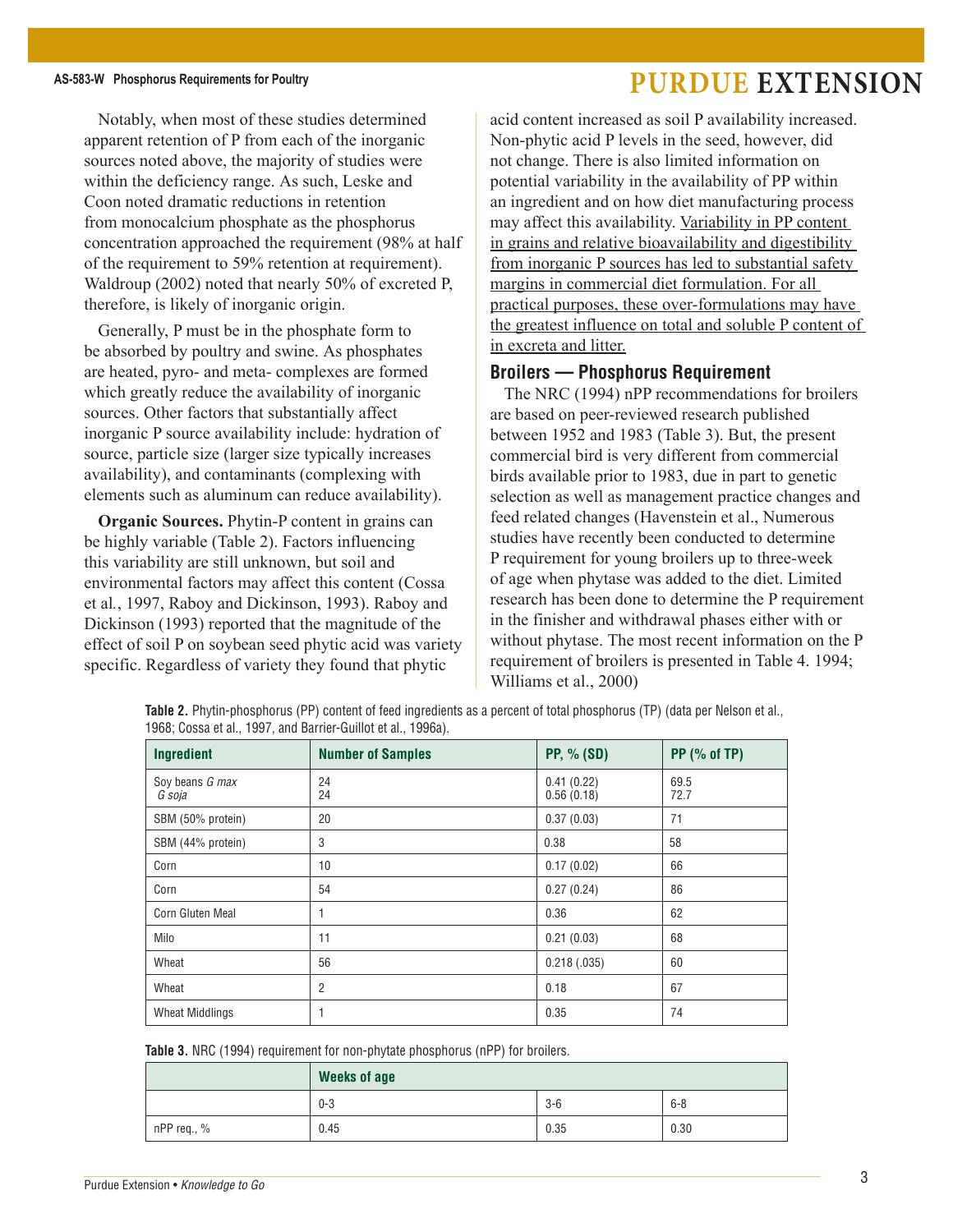Notably, when most of these studies determined apparent retention of P from each of the inorganic sources noted above, the majority of studies were within the deficiency range. As such, Leske and Coon noted dramatic reductions in retention from monocalcium phosphate as the phosphorus concentration approached the requirement (98% at half of the requirement to 59% retention at requirement). Waldroup (2002) noted that nearly 50% of excreted P, therefore, is likely of inorganic origin.

Generally, P must be in the phosphate form to be absorbed by poultry and swine. As phosphates are heated, pyro- and meta- complexes are formed which greatly reduce the availability of inorganic sources. Other factors that substantially affect inorganic P source availability include: hydration of source, particle size (larger size typically increases availability), and contaminants (complexing with elements such as aluminum can reduce availability).

**Organic Sources.** Phytin-P content in grains can be highly variable (Table 2). Factors influencing this variability are still unknown, but soil and environmental factors may affect this content (Cossa et al*.*, 1997, Raboy and Dickinson, 1993). Raboy and Dickinson (1993) reported that the magnitude of the effect of soil P on soybean seed phytic acid was variety specific. Regardless of variety they found that phytic

acid content increased as soil P availability increased. Non-phytic acid P levels in the seed, however, did not change. There is also limited information on potential variability in the availability of PP within an ingredient and on how diet manufacturing process may affect this availability. Variability in PP content in grains and relative bioavailability and digestibility from inorganic P sources has led to substantial safety margins in commercial diet formulation. For all practical purposes, these over-formulations may have the greatest influence on total and soluble P content of in excreta and litter.

#### **Broilers — Phosphorus Requirement**

The NRC (1994) nPP recommendations for broilers are based on peer-reviewed research published between 1952 and 1983 (Table 3). But, the present commercial bird is very different from commercial birds available prior to 1983, due in part to genetic selection as well as management practice changes and feed related changes (Havenstein et al., Numerous studies have recently been conducted to determine P requirement for young broilers up to three-week of age when phytase was added to the diet. Limited research has been done to determine the P requirement in the finisher and withdrawal phases either with or without phytase. The most recent information on the P requirement of broilers is presented in Table 4. 1994; Williams et al., 2000)

| Ingredient                | <b>Number of Samples</b> | <b>PP, % (SD)</b>        | $PP$ (% of TP) |  |
|---------------------------|--------------------------|--------------------------|----------------|--|
| Soy beans G max<br>G soja | 24<br>24                 | 0.41(0.22)<br>0.56(0.18) | 69.5<br>72.7   |  |
| SBM (50% protein)         | 20                       | 0.37(0.03)               | 71             |  |
| SBM (44% protein)         | 3                        | 0.38                     | 58             |  |
| Corn                      | 10                       | 0.17(0.02)               | 66             |  |
| Corn                      | 54                       | 0.27(0.24)               | 86             |  |
| Corn Gluten Meal          | 1                        | 0.36                     | 62             |  |
| Milo                      | 11                       | 0.21(0.03)               | 68             |  |
| Wheat                     | 56                       | 0.218(.035)              | 60             |  |
| Wheat                     | $\overline{2}$           | 0.18                     | 67             |  |
| <b>Wheat Middlings</b>    | 1                        | 0.35                     | 74             |  |

**Table 2.** Phytin-phosphorus (PP) content of feed ingredients as a percent of total phosphorus (TP) (data per Nelson et al., 1968; Cossa et al., 1997, and Barrier-Guillot et al., 1996a).

**Table 3.** NRC (1994) requirement for non-phytate phosphorus (nPP) for broilers.

|             | <b>Weeks of age</b> |       |         |  |  |  |  |
|-------------|---------------------|-------|---------|--|--|--|--|
|             | $0 - 3$             | $3-6$ | $6 - 8$ |  |  |  |  |
| nPP req., % | 0.45                | 0.35  | 0.30    |  |  |  |  |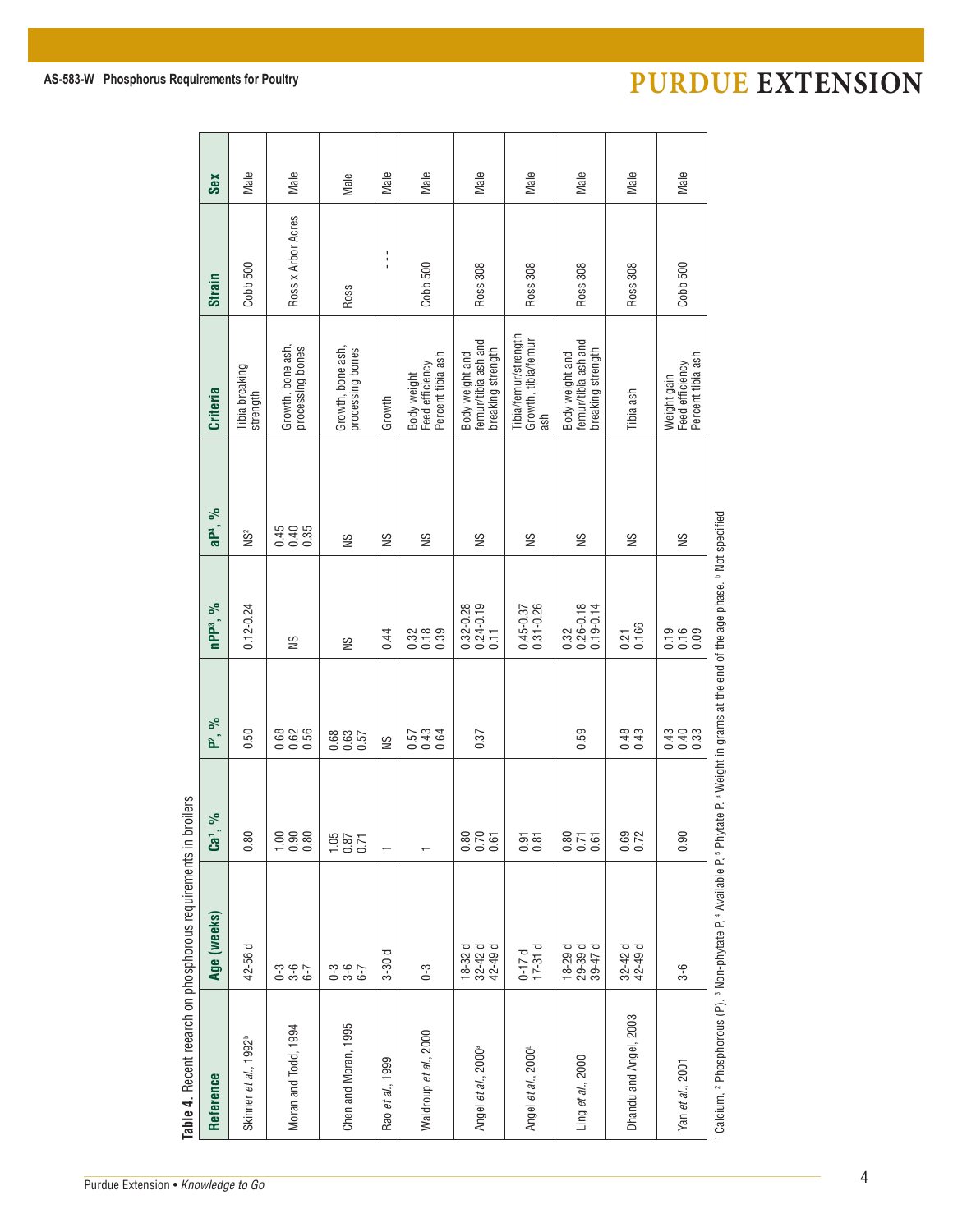| Sex                                                                          | Male                              | Male                                  | Male                                  | Male                            | Male                                                | Male                                                        | Male                                               | Male                                                              | Male                   | Male                                                |                                                                                                                                                                                                                        |
|------------------------------------------------------------------------------|-----------------------------------|---------------------------------------|---------------------------------------|---------------------------------|-----------------------------------------------------|-------------------------------------------------------------|----------------------------------------------------|-------------------------------------------------------------------|------------------------|-----------------------------------------------------|------------------------------------------------------------------------------------------------------------------------------------------------------------------------------------------------------------------------|
| Strain                                                                       | Cobb 500                          | Ross x Arbor Acres                    | Ross                                  | $\blacksquare$<br>$\frac{1}{4}$ | Cobb 500                                            | Ross 308                                                    | Ross 308                                           | Ross 308                                                          | Ross 308               | Cobb 500                                            |                                                                                                                                                                                                                        |
| <b>Criteria</b>                                                              | Tibia breaking<br>strength        | Growth, bone ash,<br>processing bones | Growth, bone ash,<br>processing bones | Growth                          | Percent tibia ash<br>Feed efficiency<br>Body weight | femur/tibia ash and<br>breaking strength<br>Body weight and | Tibia/femur/strength<br>Growth, tibia/femur<br>ash | femur/tibia ash and<br>breaking strength<br>Body weight and       | Tibia ash              | Feed efficiency<br>Percent tibia ash<br>Weight gain |                                                                                                                                                                                                                        |
| aP <sup>4</sup> , %                                                          | NS2                               | 498<br>000                            | S                                     | SN                              | SN                                                  | SN                                                          | SN                                                 | SN                                                                | SN                     | SN                                                  |                                                                                                                                                                                                                        |
| nPP <sup>3</sup> , %                                                         | $0.12 - 0.24$                     | SN                                    | S                                     | 0.44                            | $3780$<br>$0.789$                                   | $0.32 - 0.28$<br>$0.24 - 0.19$<br>$0.11$                    | $0.45 - 0.37$<br>$0.31 - 0.26$                     | $\begin{array}{c} 0.32 \\ 0.26 - 0.18 \\ 0.19 - 0.14 \end{array}$ | $0.21$<br>$0.166$      | $0.16$<br>$0.16$<br>$0.09$                          |                                                                                                                                                                                                                        |
| $\aleph$<br>a <sup>-</sup>                                                   | 0.50                              | 888.69                                | 0.63<br>0.63<br>0.0                   | SN                              | 53<br>233<br>25                                     | 0.37                                                        |                                                    | 0.59                                                              | 0.43                   | $0.43$<br>0.40<br>0.33                              |                                                                                                                                                                                                                        |
| ಸಿ<br>$\overline{\mathbf{c}}$                                                | 0.80                              | 0.800                                 | $7.87$<br>0.0 0                       | $\overline{\phantom{0}}$        |                                                     | 88<br>0.70<br>0.61                                          | 0.81                                               | 875<br>0.50<br>0.9                                                | 0.69<br>0.72           | 0.90                                                |                                                                                                                                                                                                                        |
| Age (weeks)                                                                  | 42-56 d                           | 3 - 9 - 9<br>9 - 9 - 9                | ე<br>ე ო ს<br>ე ო ს                   | p<br>$3 - 30$                   | $0 - 3$                                             | $18 - 32$ d<br>$32 - 42$ d<br>$42 - 49$ d                   | $0-17d$<br>$17-31d$                                | $18 - 29$ d<br>$29 - 39$ d<br>$39 - 47$ d                         | $32 - 42$ d<br>42-49 d | $3-6$                                               |                                                                                                                                                                                                                        |
| Table 4. Recent reearch on phosphorous requirements in broilers<br>Reference | Skinner et al., 1992 <sup>b</sup> | Moran and Todd, 1994                  | Chen and Moran, 1995                  | Rao et al., 1999                | Waldroup et al., 2000                               | Angel et al., 2000 <sup>a</sup>                             | Angel et al., 2000 <sup>b</sup>                    | Ling et al., 2000                                                 | Dhandu and Angel, 2003 | Yan et al., 2001                                    | <sup>1</sup> Calcium, <sup>2</sup> Phosphorous (P), <sup>3</sup> Non-phytate P, <sup>4</sup> Available P, <sup>5</sup> Phytate P. <sup>a</sup> Weight in grams at the end of the age phase. <sup>b</sup> Not specified |

### AS-583-W Phosphorus Requirements for Poultry **PURDUE EXTENSION**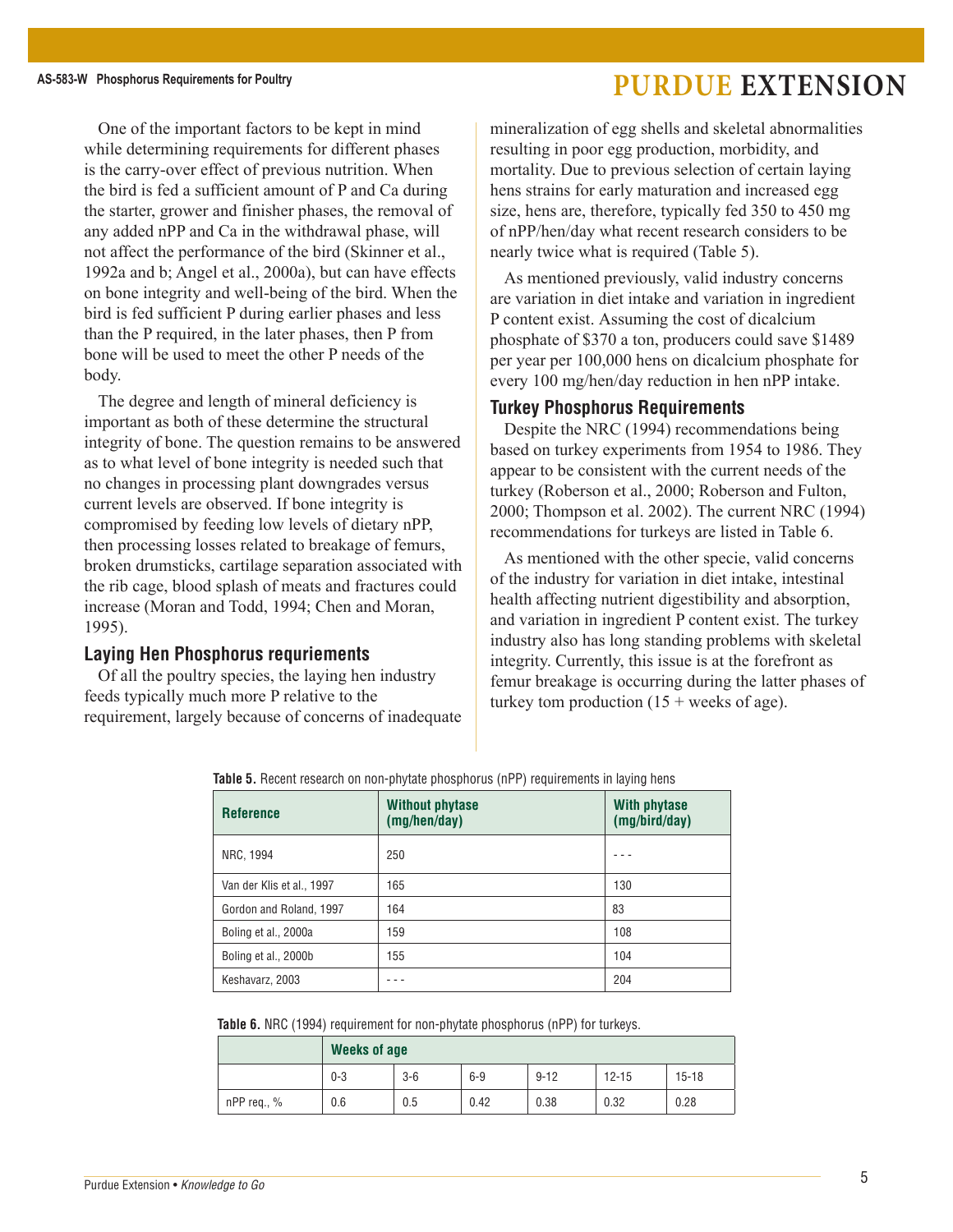One of the important factors to be kept in mind while determining requirements for different phases is the carry-over effect of previous nutrition. When the bird is fed a sufficient amount of P and Ca during the starter, grower and finisher phases, the removal of any added nPP and Ca in the withdrawal phase, will not affect the performance of the bird (Skinner et al., 1992a and b; Angel et al., 2000a), but can have effects on bone integrity and well-being of the bird. When the bird is fed sufficient P during earlier phases and less than the P required, in the later phases, then P from bone will be used to meet the other P needs of the body.

The degree and length of mineral deficiency is important as both of these determine the structural integrity of bone. The question remains to be answered as to what level of bone integrity is needed such that no changes in processing plant downgrades versus current levels are observed. If bone integrity is compromised by feeding low levels of dietary nPP, then processing losses related to breakage of femurs, broken drumsticks, cartilage separation associated with the rib cage, blood splash of meats and fractures could increase (Moran and Todd, 1994; Chen and Moran, 1995).

#### **Laying Hen Phosphorus requriements**

Of all the poultry species, the laying hen industry feeds typically much more P relative to the requirement, largely because of concerns of inadequate mineralization of egg shells and skeletal abnormalities resulting in poor egg production, morbidity, and mortality. Due to previous selection of certain laying hens strains for early maturation and increased egg size, hens are, therefore, typically fed 350 to 450 mg of nPP/hen/day what recent research considers to be nearly twice what is required (Table 5).

As mentioned previously, valid industry concerns are variation in diet intake and variation in ingredient P content exist. Assuming the cost of dicalcium phosphate of \$370 a ton, producers could save \$1489 per year per 100,000 hens on dicalcium phosphate for every 100 mg/hen/day reduction in hen nPP intake.

#### **Turkey Phosphorus Requirements**

Despite the NRC (1994) recommendations being based on turkey experiments from 1954 to 1986. They appear to be consistent with the current needs of the turkey (Roberson et al., 2000; Roberson and Fulton, 2000; Thompson et al. 2002). The current NRC (1994) recommendations for turkeys are listed in Table 6.

As mentioned with the other specie, valid concerns of the industry for variation in diet intake, intestinal health affecting nutrient digestibility and absorption, and variation in ingredient P content exist. The turkey industry also has long standing problems with skeletal integrity. Currently, this issue is at the forefront as femur breakage is occurring during the latter phases of turkey tom production  $(15 + \text{ weeks of age}).$ 

| <b>Reference</b>          | <b>Without phytase</b><br>(mg/hen/day) | <b>With phytase</b><br>(mg/bird/day) |
|---------------------------|----------------------------------------|--------------------------------------|
| NRC, 1994                 | 250                                    |                                      |
| Van der Klis et al., 1997 | 165                                    | 130                                  |
| Gordon and Roland, 1997   | 164                                    | 83                                   |
| Boling et al., 2000a      | 159                                    | 108                                  |
| Boling et al., 2000b      | 155                                    | 104                                  |
| Keshavarz, 2003           |                                        | 204                                  |

**Table 5.** Recent research on non-phytate phosphorus (nPP) requirements in laying hens

**Table 6.** NRC (1994) requirement for non-phytate phosphorus (nPP) for turkeys.

|               | <b>Weeks of age</b> |       |       |          |           |           |  |  |  |
|---------------|---------------------|-------|-------|----------|-----------|-----------|--|--|--|
|               | $0 - 3$             | $3-6$ | $6-9$ | $9 - 12$ | $12 - 15$ | $15 - 18$ |  |  |  |
| $nPP$ req., % | 0.6                 | 0.5   | 0.42  | 0.38     | 0.32      | 0.28      |  |  |  |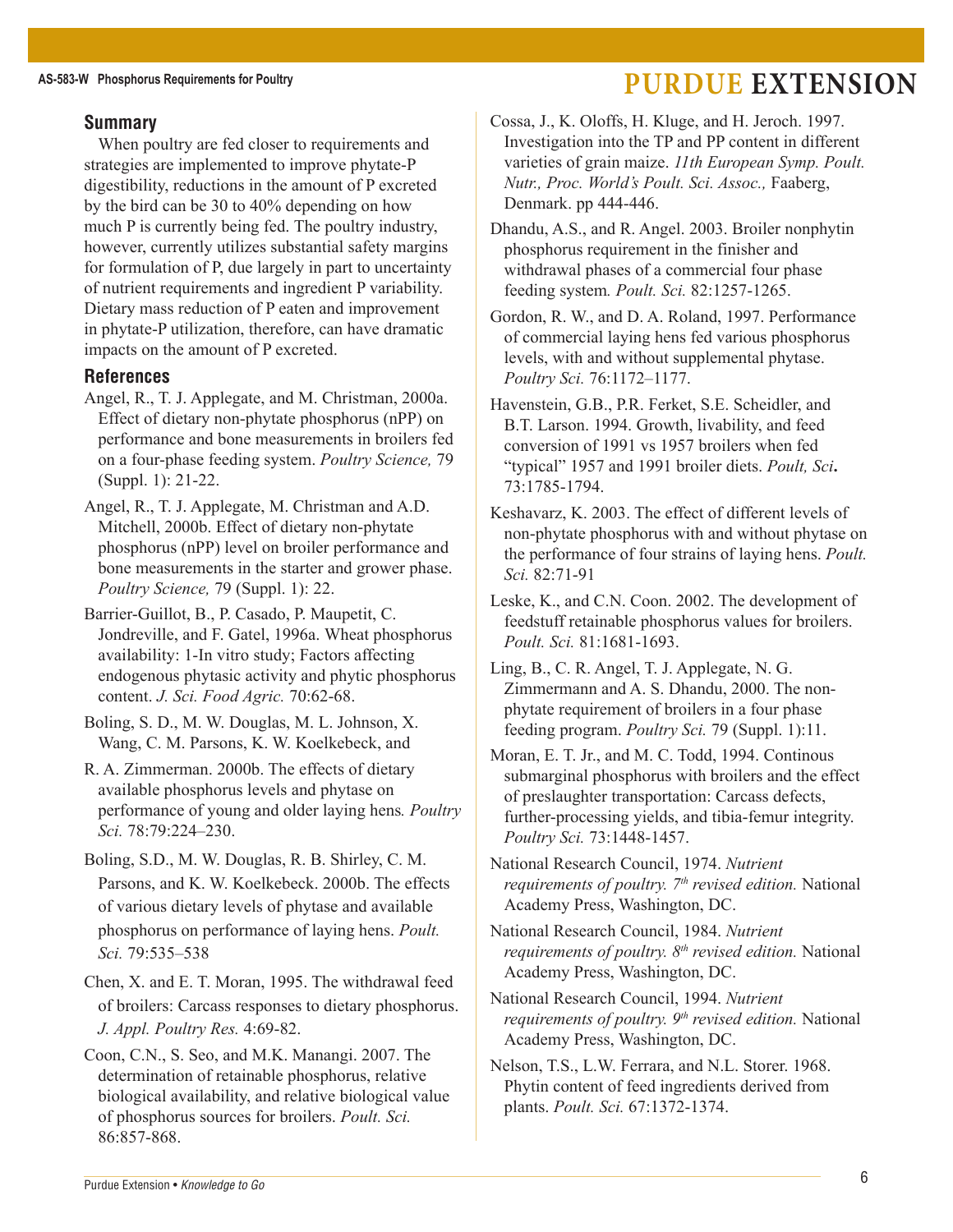#### **Summary**

When poultry are fed closer to requirements and strategies are implemented to improve phytate-P digestibility, reductions in the amount of P excreted by the bird can be 30 to 40% depending on how much P is currently being fed. The poultry industry, however, currently utilizes substantial safety margins for formulation of P, due largely in part to uncertainty of nutrient requirements and ingredient P variability. Dietary mass reduction of P eaten and improvement in phytate-P utilization, therefore, can have dramatic impacts on the amount of P excreted.

#### **References**

Angel, R., T. J. Applegate, and M. Christman, 2000a. Effect of dietary non-phytate phosphorus (nPP) on performance and bone measurements in broilers fed on a four-phase feeding system. *Poultry Science,* 79 (Suppl. 1): 21-22.

Angel, R., T. J. Applegate, M. Christman and A.D. Mitchell, 2000b. Effect of dietary non-phytate phosphorus (nPP) level on broiler performance and bone measurements in the starter and grower phase. *Poultry Science,* 79 (Suppl. 1): 22.

Barrier-Guillot, B., P. Casado, P. Maupetit, C. Jondreville, and F. Gatel, 1996a. Wheat phosphorus availability: 1-In vitro study; Factors affecting endogenous phytasic activity and phytic phosphorus content. *J. Sci. Food Agric.* 70:62-68.

Boling, S. D., M. W. Douglas, M. L. Johnson, X. Wang, C. M. Parsons, K. W. Koelkebeck, and

R. A. Zimmerman. 2000b. The effects of dietary available phosphorus levels and phytase on performance of young and older laying hens*. Poultry Sci.* 78:79:224–230.

Boling, S.D., M. W. Douglas, R. B. Shirley, C. M. Parsons, and K. W. Koelkebeck. 2000b. The effects of various dietary levels of phytase and available phosphorus on performance of laying hens. *Poult. Sci.* 79:535–538

Chen, X. and E. T. Moran, 1995. The withdrawal feed of broilers: Carcass responses to dietary phosphorus. *J. Appl. Poultry Res.* 4:69-82.

Coon, C.N., S. Seo, and M.K. Manangi. 2007. The determination of retainable phosphorus, relative biological availability, and relative biological value of phosphorus sources for broilers. *Poult. Sci.*  86:857-868.

Dhandu, A.S., and R. Angel. 2003. Broiler nonphytin phosphorus requirement in the finisher and withdrawal phases of a commercial four phase feeding system*. Poult. Sci.* 82:1257-1265.

Gordon, R. W., and D. A. Roland, 1997. Performance of commercial laying hens fed various phosphorus levels, with and without supplemental phytase. *Poultry Sci.* 76:1172–1177.

Havenstein, G.B., P.R. Ferket, S.E. Scheidler, and B.T. Larson. 1994. Growth, livability, and feed conversion of 1991 vs 1957 broilers when fed "typical" 1957 and 1991 broiler diets. *Poult, Sci***.**  73:1785-1794.

Keshavarz, K. 2003. The effect of different levels of non-phytate phosphorus with and without phytase on the performance of four strains of laying hens. *Poult. Sci.* 82:71-91

Leske, K., and C.N. Coon. 2002. The development of feedstuff retainable phosphorus values for broilers. *Poult. Sci.* 81:1681-1693.

Ling, B., C. R. Angel, T. J. Applegate, N. G. Zimmermann and A. S. Dhandu, 2000. The nonphytate requirement of broilers in a four phase feeding program. *Poultry Sci.* 79 (Suppl. 1):11.

Moran, E. T. Jr., and M. C. Todd, 1994. Continous submarginal phosphorus with broilers and the effect of preslaughter transportation: Carcass defects, further-processing yields, and tibia-femur integrity. *Poultry Sci.* 73:1448-1457.

National Research Council, 1974. *Nutrient requirements of poultry.* 7<sup>th</sup> revised edition. National Academy Press, Washington, DC.

National Research Council, 1984. *Nutrient*  requirements of poultry. 8<sup>th</sup> revised edition. National Academy Press, Washington, DC.

National Research Council, 1994. *Nutrient*  requirements of poultry. 9<sup>th</sup> revised edition. National Academy Press, Washington, DC.

Nelson, T.S., L.W. Ferrara, and N.L. Storer. 1968. Phytin content of feed ingredients derived from plants. *Poult. Sci.* 67:1372-1374.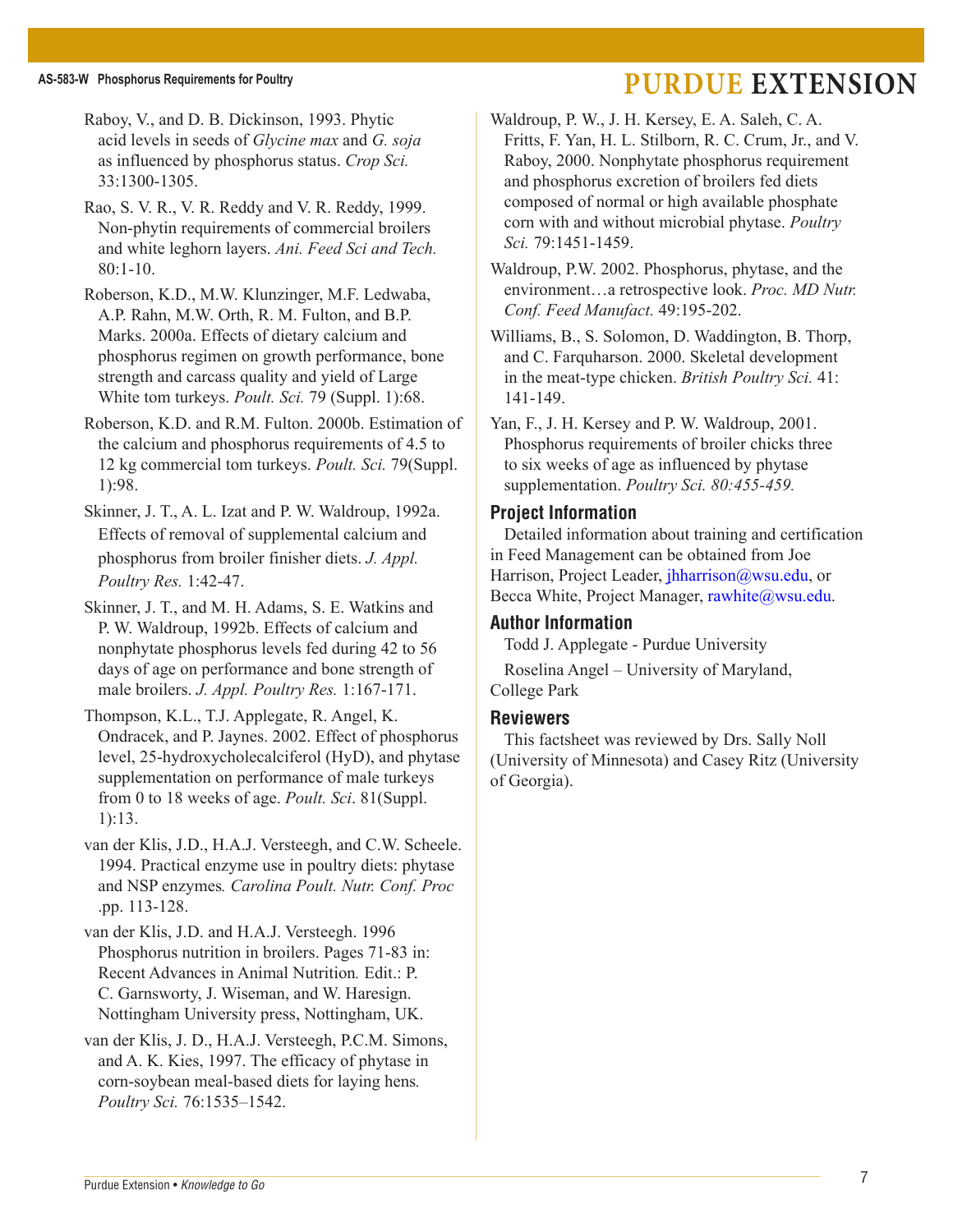Raboy, V., and D. B. Dickinson, 1993. Phytic acid levels in seeds of *Glycine max* and *G. soja*  as influenced by phosphorus status. *Crop Sci.* 33:1300-1305.

Rao, S. V. R., V. R. Reddy and V. R. Reddy, 1999. Non-phytin requirements of commercial broilers and white leghorn layers. *Ani. Feed Sci and Tech.* 80:1-10.

Roberson, K.D., M.W. Klunzinger, M.F. Ledwaba, A.P. Rahn, M.W. Orth, R. M. Fulton, and B.P. Marks. 2000a. Effects of dietary calcium and phosphorus regimen on growth performance, bone strength and carcass quality and yield of Large White tom turkeys. *Poult. Sci.* 79 (Suppl. 1):68.

Roberson, K.D. and R.M. Fulton. 2000b. Estimation of the calcium and phosphorus requirements of 4.5 to 12 kg commercial tom turkeys. *Poult. Sci.* 79(Suppl. 1):98.

Skinner, J. T., A. L. Izat and P. W. Waldroup, 1992a. Effects of removal of supplemental calcium and phosphorus from broiler finisher diets. *J. Appl. Poultry Res.* 1:42-47.

Skinner, J. T., and M. H. Adams, S. E. Watkins and P. W. Waldroup, 1992b. Effects of calcium and nonphytate phosphorus levels fed during 42 to 56 days of age on performance and bone strength of male broilers. *J. Appl. Poultry Res.* 1:167-171.

Thompson, K.L., T.J. Applegate, R. Angel, K. Ondracek, and P. Jaynes. 2002. Effect of phosphorus level, 25-hydroxycholecalciferol (HyD), and phytase supplementation on performance of male turkeys from 0 to 18 weeks of age. *Poult. Sci*. 81(Suppl. 1):13.

van der Klis, J.D., H.A.J. Versteegh, and C.W. Scheele. 1994. Practical enzyme use in poultry diets: phytase and NSP enzymes*. Carolina Poult. Nutr. Conf. Proc* .pp. 113-128.

van der Klis, J.D. and H.A.J. Versteegh. 1996 Phosphorus nutrition in broilers. Pages 71-83 in: Recent Advances in Animal Nutrition*.* Edit.: P. C. Garnsworty, J. Wiseman, and W. Haresign. Nottingham University press, Nottingham, UK.

van der Klis, J. D., H.A.J. Versteegh, P.C.M. Simons, and A. K. Kies, 1997. The efficacy of phytase in corn-soybean meal-based diets for laying hens*. Poultry Sci.* 76:1535–1542.

Waldroup, P. W., J. H. Kersey, E. A. Saleh, C. A. Fritts, F. Yan, H. L. Stilborn, R. C. Crum, Jr., and V. Raboy, 2000. Nonphytate phosphorus requirement and phosphorus excretion of broilers fed diets composed of normal or high available phosphate corn with and without microbial phytase. *Poultry Sci.* 79:1451-1459.

Waldroup, P.W. 2002. Phosphorus, phytase, and the environment…a retrospective look. *Proc. MD Nutr. Conf. Feed Manufact.* 49:195-202.

Williams, B., S. Solomon, D. Waddington, B. Thorp, and C. Farquharson. 2000. Skeletal development in the meat-type chicken. *British Poultry Sci.* 41: 141-149.

Yan, F., J. H. Kersey and P. W. Waldroup, 2001. Phosphorus requirements of broiler chicks three to six weeks of age as influenced by phytase supplementation. *Poultry Sci. 80:455-459.*

#### **Project Information**

Detailed information about training and certification in Feed Management can be obtained from Joe Harrison, Project Leader, *jhharrison@wsu.edu, or* Becca White, Project Manager, rawhite@wsu.edu.

#### **Author Information**

Todd J. Applegate - Purdue University

Roselina Angel – University of Maryland, College Park

#### **Reviewers**

This factsheet was reviewed by Drs. Sally Noll (University of Minnesota) and Casey Ritz (University of Georgia).